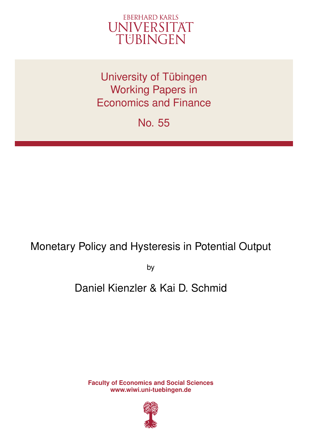

University of Tübingen Working Papers in Economics and Finance

No. 55

# Monetary Policy and Hysteresis in Potential Output

by

# Daniel Kienzler & Kai D. Schmid

**Faculty of Economics and Social Sciences www.wiwi.uni-tuebingen.de**

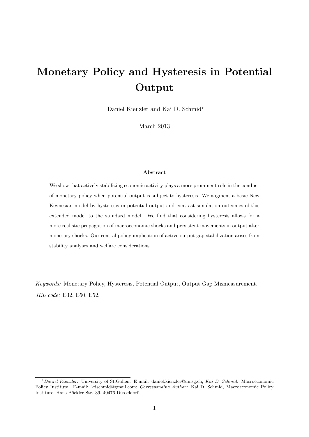# Monetary Policy and Hysteresis in Potential Output

Daniel Kienzler and Kai D. Schmid<sup>∗</sup>

March 2013

#### Abstract

We show that actively stabilizing economic activity plays a more prominent role in the conduct of monetary policy when potential output is subject to hysteresis. We augment a basic New Keynesian model by hysteresis in potential output and contrast simulation outcomes of this extended model to the standard model. We find that considering hysteresis allows for a more realistic propagation of macroeconomic shocks and persistent movements in output after monetary shocks. Our central policy implication of active output gap stabilization arises from stability analyses and welfare considerations.

Keywords: Monetary Policy, Hysteresis, Potential Output, Output Gap Mismeasurement. JEL code: E32, E50, E52.

<sup>∗</sup>*Daniel Kienzler:* University of St.Gallen. E-mail: daniel.kienzler@unisg.ch; *Kai D. Schmid:* Macroeconomic Policy Institute. E-mail: kdschmid@gmail.com; *Corresponding Author:* Kai D. Schmid, Macroeconomic Policy Institute, Hans-Böckler-Str. 39, 40476 Düsseldorf.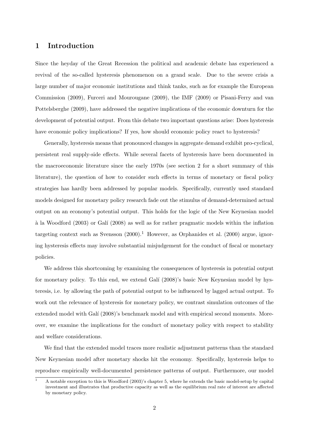# 1 Introduction

Since the heyday of the Great Recession the political and academic debate has experienced a revival of the so-called hysteresis phenomenon on a grand scale. Due to the severe crisis a large number of major economic institutions and think tanks, such as for example the European Commission (2009), Furceri and Mourougane (2009), the IMF (2009) or Pisani-Ferry and van Pottelsberghe (2009), have addressed the negative implications of the economic downturn for the development of potential output. From this debate two important questions arise: Does hysteresis have economic policy implications? If yes, how should economic policy react to hysteresis?

Generally, hysteresis means that pronounced changes in aggregate demand exhibit pro-cyclical, persistent real supply-side effects. While several facets of hysteresis have been documented in the macroeconomic literature since the early 1970s (see section 2 for a short summary of this literature), the question of how to consider such effects in terms of monetary or fiscal policy strategies has hardly been addressed by popular models. Specifically, currently used standard models designed for monetary policy research fade out the stimulus of demand-determined actual output on an economy's potential output. This holds for the logic of the New Keynesian model  $\hat{a}$  la Woodford (2003) or Galí (2008) as well as for rather pragmatic models within the inflation targeting context such as Svensson  $(2000)^{1}$  However, as Orphanides et al.  $(2000)$  argue, ignoring hysteresis effects may involve substantial misjudgement for the conduct of fiscal or monetary policies.

We address this shortcoming by examining the consequences of hysteresis in potential output for monetary policy. To this end, we extend Galí (2008)'s basic New Keynesian model by hysteresis, i.e. by allowing the path of potential output to be influenced by lagged actual output. To work out the relevance of hysteresis for monetary policy, we contrast simulation outcomes of the extended model with Galí (2008)'s benchmark model and with empirical second moments. Moreover, we examine the implications for the conduct of monetary policy with respect to stability and welfare considerations.

We find that the extended model traces more realistic adjustment patterns than the standard New Keynesian model after monetary shocks hit the economy. Specifically, hysteresis helps to reproduce empirically well-documented persistence patterns of output. Furthermore, our model

 $\overline{1}$  A notable exception to this is Woodford (2003)'s chapter 5, where he extends the basic model-setup by capital investment and illustrates that productive capacity as well as the equilibrium real rate of interest are affected by monetary policy.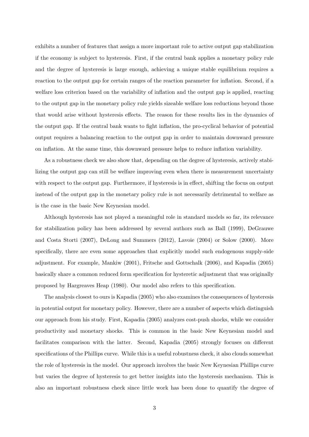exhibits a number of features that assign a more important role to active output gap stabilization if the economy is subject to hysteresis. First, if the central bank applies a monetary policy rule and the degree of hysteresis is large enough, achieving a unique stable equilibrium requires a reaction to the output gap for certain ranges of the reaction parameter for inflation. Second, if a welfare loss criterion based on the variability of inflation and the output gap is applied, reacting to the output gap in the monetary policy rule yields sizeable welfare loss reductions beyond those that would arise without hysteresis effects. The reason for these results lies in the dynamics of the output gap. If the central bank wants to fight inflation, the pro-cyclical behavior of potential output requires a balancing reaction to the output gap in order to maintain downward pressure on inflation. At the same time, this downward pressure helps to reduce inflation variability.

As a robustness check we also show that, depending on the degree of hysteresis, actively stabilizing the output gap can still be welfare improving even when there is measurement uncertainty with respect to the output gap. Furthermore, if hysteresis is in effect, shifting the focus on output instead of the output gap in the monetary policy rule is not necessarily detrimental to welfare as is the case in the basic New Keynesian model.

Although hysteresis has not played a meaningful role in standard models so far, its relevance for stabilization policy has been addressed by several authors such as Ball (1999), DeGrauwe and Costa Storti (2007), DeLong and Summers (2012), Lavoie (2004) or Solow (2000). More specifically, there are even some approaches that explicitly model such endogenous supply-side adjustment. For example, Mankiw (2001), Fritsche and Gottschalk (2006), and Kapadia (2005) basically share a common reduced form specification for hysteretic adjustment that was originally proposed by Hargreaves Heap (1980). Our model also refers to this specification.

The analysis closest to ours is Kapadia (2005) who also examines the consequences of hysteresis in potential output for monetary policy. However, there are a number of aspects which distinguish our approach from his study. First, Kapadia (2005) analyzes cost-push shocks, while we consider productivity and monetary shocks. This is common in the basic New Keynesian model and facilitates comparison with the latter. Second, Kapadia (2005) strongly focuses on different specifications of the Phillips curve. While this is a useful robustness check, it also clouds somewhat the role of hysteresis in the model. Our approach involves the basic New Keynesian Phillips curve but varies the degree of hysteresis to get better insights into the hysteresis mechanism. This is also an important robustness check since little work has been done to quantify the degree of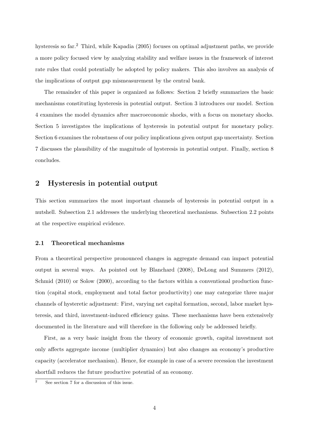hysteresis so far.<sup>2</sup> Third, while Kapadia (2005) focuses on optimal adjustment paths, we provide a more policy focused view by analyzing stability and welfare issues in the framework of interest rate rules that could potentially be adopted by policy makers. This also involves an analysis of the implications of output gap mismeasurement by the central bank.

The remainder of this paper is organized as follows: Section 2 briefly summarizes the basic mechanisms constituting hysteresis in potential output. Section 3 introduces our model. Section 4 examines the model dynamics after macroeconomic shocks, with a focus on monetary shocks. Section 5 investigates the implications of hysteresis in potential output for monetary policy. Section 6 examines the robustness of our policy implications given output gap uncertainty. Section 7 discusses the plausibility of the magnitude of hysteresis in potential output. Finally, section 8 concludes.

## 2 Hysteresis in potential output

This section summarizes the most important channels of hysteresis in potential output in a nutshell. Subsection 2.1 addresses the underlying theoretical mechanisms. Subsection 2.2 points at the respective empirical evidence.

### 2.1 Theoretical mechanisms

From a theoretical perspective pronounced changes in aggregate demand can impact potential output in several ways. As pointed out by Blanchard (2008), DeLong and Summers (2012), Schmid (2010) or Solow (2000), according to the factors within a conventional production function (capital stock, employment and total factor productivity) one may categorize three major channels of hysteretic adjustment: First, varying net capital formation, second, labor market hysteresis, and third, investment-induced efficiency gains. These mechanisms have been extensively documented in the literature and will therefore in the following only be addressed briefly.

First, as a very basic insight from the theory of economic growth, capital investment not only affects aggregate income (multiplier dynamics) but also changes an economy's productive capacity (accelerator mechanism). Hence, for example in case of a severe recession the investment shortfall reduces the future productive potential of an economy.

<sup>2</sup> See section 7 for a discussion of this issue.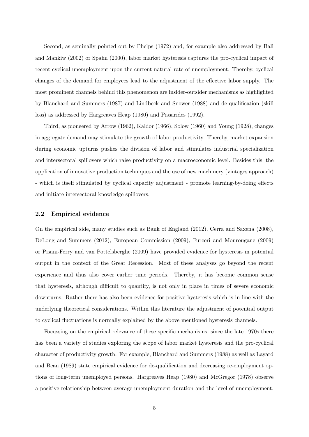Second, as seminally pointed out by Phelps (1972) and, for example also addressed by Ball and Mankiw (2002) or Spahn (2000), labor market hysteresis captures the pro-cyclical impact of recent cyclical unemployment upon the current natural rate of unemployment. Thereby, cyclical changes of the demand for employees lead to the adjustment of the effective labor supply. The most prominent channels behind this phenomenon are insider-outsider mechanisms as highlighted by Blanchard and Summers (1987) and Lindbeck and Snower (1988) and de-qualification (skill loss) as addressed by Hargreaves Heap (1980) and Pissarides (1992).

Third, as pioneered by Arrow (1962), Kaldor (1966), Solow (1960) and Young (1928), changes in aggregate demand may stimulate the growth of labor productivity. Thereby, market expansion during economic upturns pushes the division of labor and stimulates industrial specialization and intersectoral spillovers which raise productivity on a macroeconomic level. Besides this, the application of innovative production techniques and the use of new machinery (vintages approach) - which is itself stimulated by cyclical capacity adjustment - promote learning-by-doing effects and initiate intersectoral knowledge spillovers.

#### 2.2 Empirical evidence

On the empirical side, many studies such as Bank of England (2012), Cerra and Saxena (2008), DeLong and Summers (2012), European Commission (2009), Furceri and Mourougane (2009) or Pisani-Ferry and van Pottelsberghe (2009) have provided evidence for hysteresis in potential output in the context of the Great Recession. Most of these analyses go beyond the recent experience and thus also cover earlier time periods. Thereby, it has become common sense that hysteresis, although difficult to quantify, is not only in place in times of severe economic downturns. Rather there has also been evidence for positive hysteresis which is in line with the underlying theoretical considerations. Within this literature the adjustment of potential output to cyclical fluctuations is normally explained by the above mentioned hysteresis channels.

Focussing on the empirical relevance of these specific mechanisms, since the late 1970s there has been a variety of studies exploring the scope of labor market hysteresis and the pro-cyclical character of productivity growth. For example, Blanchard and Summers (1988) as well as Layard and Bean (1989) state empirical evidence for de-qualification and decreasing re-employment options of long-term unemployed persons. Hargreaves Heap (1980) and McGregor (1978) observe a positive relationship between average unemployment duration and the level of unemployment.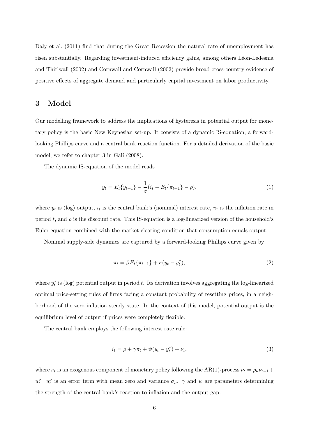Daly et al. (2011) find that during the Great Recession the natural rate of unemployment has risen substantially. Regarding investment-induced efficiency gains, among others Léon-Ledesma and Thirlwall (2002) and Cornwall and Cornwall (2002) provide broad cross-country evidence of positive effects of aggregate demand and particularly capital investment on labor productivity.

# 3 Model

Our modelling framework to address the implications of hysteresis in potential output for monetary policy is the basic New Keynesian set-up. It consists of a dynamic IS-equation, a forwardlooking Phillips curve and a central bank reaction function. For a detailed derivation of the basic model, we refer to chapter  $3$  in Galí  $(2008)$ .

The dynamic IS-equation of the model reads

$$
y_t = E_t \{ y_{t+1} \} - \frac{1}{\sigma} (i_t - E_t \{ \pi_{t+1} \} - \rho), \tag{1}
$$

where  $y_t$  is (log) output,  $i_t$  is the central bank's (nominal) interest rate,  $\pi_t$  is the inflation rate in period t, and  $\rho$  is the discount rate. This IS-equation is a log-linearized version of the household's Euler equation combined with the market clearing condition that consumption equals output.

Nominal supply-side dynamics are captured by a forward-looking Phillips curve given by

$$
\pi_t = \beta E_t \{\pi_{t+1}\} + \kappa (y_t - y_t^*),
$$
\n(2)

where  $y_t^*$  $_{t}^{*}$  is (log) potential output in period t. Its derivation involves aggregating the log-linearized optimal price-setting rules of firms facing a constant probability of resetting prices, in a neighborhood of the zero inflation steady state. In the context of this model, potential output is the equilibrium level of output if prices were completely flexible.

The central bank employs the following interest rate rule:

$$
i_t = \rho + \gamma \pi_t + \psi(y_t - y_t^*) + \nu_t,\tag{3}
$$

where  $\nu_t$  is an exogenous component of monetary policy following the AR(1)-process  $\nu_t = \rho_\nu \nu_{t-1} +$  $u_t^{\nu}$ .  $u_t^{\nu}$  is an error term with mean zero and variance  $\sigma_{\nu}$ .  $\gamma$  and  $\psi$  are parameters determining the strength of the central bank's reaction to inflation and the output gap.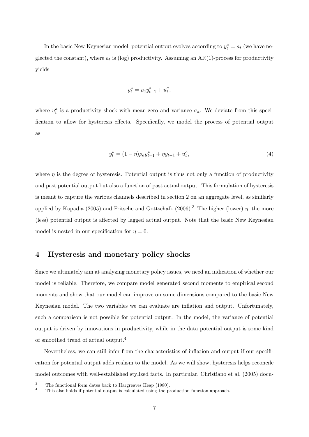In the basic New Keynesian model, potential output evolves according to  $y_t^* = a_t$  (we have neglected the constant), where  $a_t$  is (log) productivity. Assuming an AR(1)-process for productivity yields

$$
y_t^* = \rho_a y_{t-1}^* + u_t^a,
$$

where  $u_t^a$  is a productivity shock with mean zero and variance  $\sigma_a$ . We deviate from this specification to allow for hysteresis effects. Specifically, we model the process of potential output as

$$
y_t^* = (1 - \eta)\rho_a y_{t-1}^* + \eta y_{t-1} + u_t^a,\tag{4}
$$

where  $\eta$  is the degree of hysteresis. Potential output is thus not only a function of productivity and past potential output but also a function of past actual output. This formulation of hysteresis is meant to capture the various channels described in section 2 on an aggregate level, as similarly applied by Kapadia (2005) and Fritsche and Gottschalk (2006).<sup>3</sup> The higher (lower)  $\eta$ , the more (less) potential output is affected by lagged actual output. Note that the basic New Keynesian model is nested in our specification for  $\eta = 0$ .

# 4 Hysteresis and monetary policy shocks

Since we ultimately aim at analyzing monetary policy issues, we need an indication of whether our model is reliable. Therefore, we compare model generated second moments to empirical second moments and show that our model can improve on some dimensions compared to the basic New Keynesian model. The two variables we can evaluate are inflation and output. Unfortunately, such a comparison is not possible for potential output. In the model, the variance of potential output is driven by innovations in productivity, while in the data potential output is some kind of smoothed trend of actual output.<sup>4</sup>

Nevertheless, we can still infer from the characteristics of inflation and output if our specification for potential output adds realism to the model. As we will show, hysteresis helps reconcile model outcomes with well-established stylized facts. In particular, Christiano et al. (2005) docu-

 $\frac{3}{4}$  The functional form dates back to Hargreaves Heap (1980).

<sup>4</sup> This also holds if potential output is calculated using the production function approach.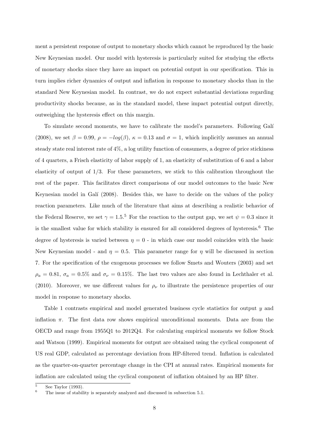ment a persistent response of output to monetary shocks which cannot be reproduced by the basic New Keynesian model. Our model with hysteresis is particularly suited for studying the effects of monetary shocks since they have an impact on potential output in our specification. This in turn implies richer dynamics of output and inflation in response to monetary shocks than in the standard New Keynesian model. In contrast, we do not expect substantial deviations regarding productivity shocks because, as in the standard model, these impact potential output directly, outweighing the hysteresis effect on this margin.

To simulate second moments, we have to calibrate the model's parameters. Following Galí (2008), we set  $\beta = 0.99$ ,  $\rho = -log(\beta)$ ,  $\kappa = 0.13$  and  $\sigma = 1$ , which implicitly assumes an annual steady state real interest rate of 4%, a log utility function of consumers, a degree of price stickiness of 4 quarters, a Frisch elasticity of labor supply of 1, an elasticity of substitution of 6 and a labor elasticity of output of  $1/3$ . For these parameters, we stick to this calibration throughout the rest of the paper. This facilitates direct comparisons of our model outcomes to the basic New Keynesian model in Galí (2008). Besides this, we have to decide on the values of the policy reaction parameters. Like much of the literature that aims at describing a realistic behavior of the Federal Reserve, we set  $\gamma = 1.5$ <sup>5</sup> For the reaction to the output gap, we set  $\psi = 0.3$  since it is the smallest value for which stability is ensured for all considered degrees of hysteresis.<sup>6</sup> The degree of hysteresis is varied between  $\eta = 0$  - in which case our model coincides with the basic New Keynesian model - and  $\eta = 0.5$ . This parameter range for  $\eta$  will be discussed in section 7. For the specification of the exogenous processes we follow Smets and Wouters (2003) and set  $\rho_a = 0.81$ ,  $\sigma_a = 0.5\%$  and  $\sigma_{\nu} = 0.15\%$ . The last two values are also found in Lechthaler et al. (2010). Moreover, we use different values for  $\rho_{\nu}$  to illustrate the persistence properties of our model in response to monetary shocks.

Table 1 contrasts empirical and model generated business cycle statistics for output y and inflation  $\pi$ . The first data row shows empirical unconditional moments. Data are from the OECD and range from 1955Q1 to 2012Q4. For calculating empirical moments we follow Stock and Watson (1999). Empirical moments for output are obtained using the cyclical component of US real GDP, calculated as percentage deviation from HP-filtered trend. Inflation is calculated as the quarter-on-quarter percentage change in the CPI at annual rates. Empirical moments for inflation are calculated using the cyclical component of inflation obtained by an HP filter.

 $rac{5}{6}$  See Taylor (1993).

The issue of stability is separately analyzed and discussed in subsection 5.1.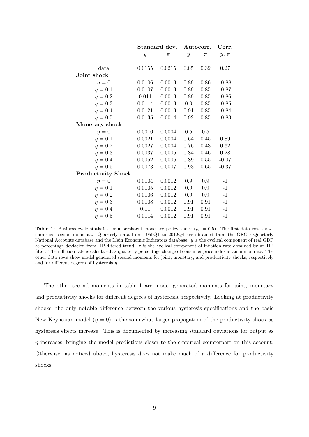|                           | Standard dev.    |        | Autocorr.        |         | Corr.        |
|---------------------------|------------------|--------|------------------|---------|--------------|
|                           | $\boldsymbol{y}$ | $\pi$  | $\boldsymbol{y}$ | $\pi$   | $y, \pi$     |
|                           |                  |        |                  |         |              |
| data                      | 0.0155           | 0.0215 | 0.85             | 0.32    | 0.27         |
| Joint shock               |                  |        |                  |         |              |
| $\eta=0$                  | 0.0106           | 0.0013 | 0.89             | 0.86    | $-0.88$      |
| $\eta=0.1$                | 0.0107           | 0.0013 | 0.89             | 0.85    | $-0.87$      |
| $\eta=0.2$                | 0.011            | 0.0013 | 0.89             | 0.85    | $-0.86$      |
| $\eta=0.3$                | 0.0114           | 0.0013 | $0.9\,$          | 0.85    | $-0.85$      |
| $\eta=0.4$                | 0.0121           | 0.0013 | 0.91             | 0.85    | $-0.84$      |
| $\eta=0.5$                | 0.0135           | 0.0014 | 0.92             | 0.85    | $-0.83$      |
| Monetary shock            |                  |        |                  |         |              |
| $\eta = 0$                | 0.0016           | 0.0004 | 0.5              | 0.5     | $\mathbf{1}$ |
| $\eta=0.1$                | 0.0021           | 0.0004 | 0.64             | 0.45    | 0.89         |
| $\eta=0.2$                | 0.0027           | 0.0004 | 0.76             | 0.43    | 0.62         |
| $\eta=0.3$                | 0.0037           | 0.0005 | 0.84             | 0.46    | 0.28         |
| $\eta=0.4$                | 0.0052           | 0.0006 | 0.89             | 0.55    | $-0.07$      |
| $\eta=0.5$                | 0.0073           | 0.0007 | 0.93             | 0.65    | $-0.37$      |
| <b>Productivity Shock</b> |                  |        |                  |         |              |
| $\eta = 0$                | 0.0104           | 0.0012 | 0.9              | $0.9\,$ | $-1$         |
| $\eta=0.1$                | 0.0105           | 0.0012 | 0.9              | 0.9     | $-1$         |
| $\eta=0.2$                | 0.0106           | 0.0012 | $0.9\,$          | 0.9     | $-1$         |
| $\eta=0.3$                | 0.0108           | 0.0012 | 0.91             | 0.91    | $-1$         |
| $\eta=0.4$                | 0.11             | 0.0012 | 0.91             | 0.91    | $-1$         |
| $\eta=0.5$                | 0.0114           | 0.0012 | 0.91             | 0.91    | $-1$         |

**Table 1:** Business cycle statistics for a persistent monetary policy shock ( $\rho_{\nu} = 0.5$ ). The first data row shows empirical second moments. Quarterly data from 1955Q1 to 2012Q4 are obtained from the OECD Quarterly National Accounts database and the Main Economic Indicators database. y is the cyclical component of real GDP as percentage deviation from HP-filtered trend.  $\pi$  is the cyclical component of inflation rate obtained by an HP filter. The inflation rate is calculated as quarterly percentage change of consumer price index at an annual rate. The other data rows show model generated second moments for joint, monetary, and productivity shocks, respectively and for different degrees of hysteresis  $\eta$ .

The other second moments in table 1 are model generated moments for joint, monetary and productivity shocks for different degrees of hysteresis, respectively. Looking at productivity shocks, the only notable difference between the various hysteresis specifications and the basic New Keynesian model  $(\eta = 0)$  is the somewhat larger propagation of the productivity shock as hysteresis effects increase. This is documented by increasing standard deviations for output as  $\eta$  increases, bringing the model predictions closer to the empirical counterpart on this account. Otherwise, as noticed above, hysteresis does not make much of a difference for productivity shocks.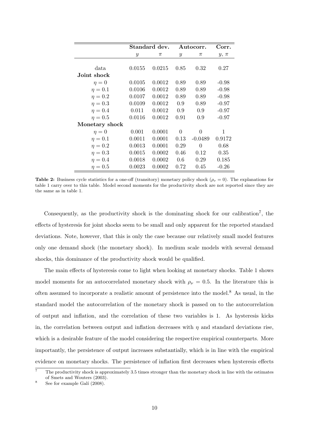|                | Standard dev. |        | Autocorr.     |           | Corr.    |
|----------------|---------------|--------|---------------|-----------|----------|
|                | $\mathcal{Y}$ | $\pi$  | $\mathcal{Y}$ | $\pi$     | $y, \pi$ |
|                |               |        |               |           |          |
| data           | 0.0155        | 0.0215 | 0.85          | 0.32      | 0.27     |
| Joint shock    |               |        |               |           |          |
| $\eta = 0$     | 0.0105        | 0.0012 | 0.89          | 0.89      | $-0.98$  |
| $\eta=0.1$     | 0.0106        | 0.0012 | 0.89          | 0.89      | $-0.98$  |
| $\eta=0.2$     | 0.0107        | 0.0012 | 0.89          | 0.89      | $-0.98$  |
| $\eta=0.3$     | 0.0109        | 0.0012 | 0.9           | 0.89      | $-0.97$  |
| $\eta = 0.4$   | 0.011         | 0.0012 | 0.9           | 0.9       | $-0.97$  |
| $\eta=0.5$     | 0.0116        | 0.0012 | 0.91          | 0.9       | $-0.97$  |
| Monetary shock |               |        |               |           |          |
| $\eta=0$       | 0.001         | 0.0001 | $\theta$      | $\theta$  | 1        |
| $\eta=0.1$     | 0.0011        | 0.0001 | 0.13          | $-0.0489$ | 0.9172   |
| $\eta=0.2$     | 0.0013        | 0.0001 | 0.29          | $\theta$  | 0.68     |
| $\eta=0.3$     | 0.0015        | 0.0002 | 0.46          | 0.12      | 0.35     |
| $\eta=0.4$     | 0.0018        | 0.0002 | 0.6           | 0.29      | 0.185    |
| $\eta=0.5$     | 0.0023        | 0.0002 | 0.72          | 0.45      | $-0.26$  |

**Table 2:** Business cycle statistics for a one-off (transitory) monetary policy shock ( $\rho_{\nu} = 0$ ). The explanations for table 1 carry over to this table. Model second moments for the productivity shock are not reported since they are the same as in table 1.

Consequently, as the productivity shock is the dominating shock for our calibration<sup>7</sup>, the effects of hysteresis for joint shocks seem to be small and only apparent for the reported standard deviations. Note, however, that this is only the case because our relatively small model features only one demand shock (the monetary shock). In medium scale models with several demand shocks, this dominance of the productivity shock would be qualified.

The main effects of hysteresis come to light when looking at monetary shocks. Table 1 shows model moments for an autocorrelated monetary shock with  $\rho_{\nu} = 0.5$ . In the literature this is often assumed to incorporate a realistic amount of persistence into the model.<sup>8</sup> As usual, in the standard model the autocorrelation of the monetary shock is passed on to the autocorrelation of output and inflation, and the correlation of these two variables is 1. As hysteresis kicks in, the correlation between output and inflation decreases with  $\eta$  and standard deviations rise, which is a desirable feature of the model considering the respective empirical counterparts. More importantly, the persistence of output increases substantially, which is in line with the empirical evidence on monetary shocks. The persistence of inflation first decreases when hysteresis effects

<sup>7</sup> The productivity shock is approximately 3.5 times stronger than the monetary shock in line with the estimates of Smets and Wouters (2003).

See for example Galí (2008).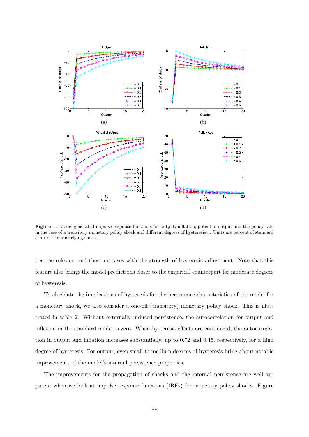

Figure 1: Model generated impulse response functions for output, inflation, potential output and the policy rate in the case of a transitory monetary policy shock and different degrees of hysteresis  $\eta$ . Units are percent of standard error of the underlying shock.

become relevant and then increases with the strength of hysteretic adjustment. Note that this feature also brings the model predictions closer to the empirical counterpart for moderate degrees of hysteresis.

To elucidate the implications of hysteresis for the persistence characteristics of the model for a monetary shock, we also consider a one-off (transitory) monetary policy shock. This is illustrated in table 2. Without externally induced persistence, the autocorrelation for output and inflation in the standard model is zero. When hysteresis effects are considered, the autocorrelation in output and inflation increases substantially, up to 0.72 and 0.45, respectively, for a high degree of hysteresis. For output, even small to medium degrees of hysteresis bring about notable improvements of the model's internal persistence properties.

The improvements for the propagation of shocks and the internal persistence are well apparent when we look at impulse response functions (IRFs) for monetary policy shocks. Figure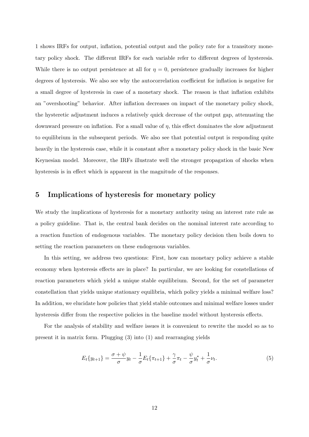1 shows IRFs for output, inflation, potential output and the policy rate for a transitory monetary policy shock. The different IRFs for each variable refer to different degrees of hysteresis. While there is no output persistence at all for  $\eta = 0$ , persistence gradually increases for higher degrees of hysteresis. We also see why the autocorrelation coefficient for inflation is negative for a small degree of hysteresis in case of a monetary shock. The reason is that inflation exhibits an "overshooting" behavior. After inflation decreases on impact of the monetary policy shock, the hysteretic adjustment induces a relatively quick decrease of the output gap, attenuating the downward pressure on inflation. For a small value of  $\eta$ , this effect dominates the slow adjustment to equilibrium in the subsequent periods. We also see that potential output is responding quite heavily in the hysteresis case, while it is constant after a monetary policy shock in the basic New Keynesian model. Moreover, the IRFs illustrate well the stronger propagation of shocks when hysteresis is in effect which is apparent in the magnitude of the responses.

### 5 Implications of hysteresis for monetary policy

We study the implications of hysteresis for a monetary authority using an interest rate rule as a policy guideline. That is, the central bank decides on the nominal interest rate according to a reaction function of endogenous variables. The monetary policy decision then boils down to setting the reaction parameters on these endogenous variables.

In this setting, we address two questions: First, how can monetary policy achieve a stable economy when hysteresis effects are in place? In particular, we are looking for constellations of reaction parameters which yield a unique stable equilibrium. Second, for the set of parameter constellation that yields unique stationary equilibria, which policy yields a minimal welfare loss? In addition, we elucidate how policies that yield stable outcomes and minimal welfare losses under hysteresis differ from the respective policies in the baseline model without hysteresis effects.

For the analysis of stability and welfare issues it is convenient to rewrite the model so as to present it in matrix form. Plugging (3) into (1) and rearranging yields

$$
E_t\{y_{t+1}\} = \frac{\sigma + \psi}{\sigma}y_t - \frac{1}{\sigma}E_t\{\pi_{t+1}\} + \frac{\gamma}{\sigma}\pi_t - \frac{\psi}{\sigma}y_t^* + \frac{1}{\sigma}\nu_t.
$$
\n
$$
\tag{5}
$$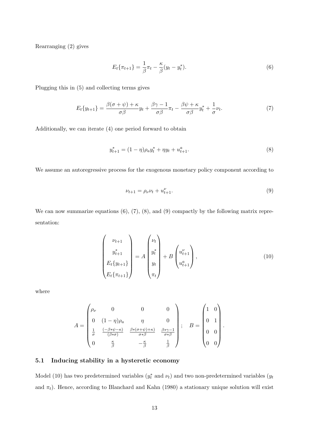Rearranging (2) gives

$$
E_t\{\pi_{t+1}\} = \frac{1}{\beta}\pi_t - \frac{\kappa}{\beta}(y_t - y_t^*).
$$
 (6)

Plugging this in (5) and collecting terms gives

$$
E_t\{y_{t+1}\} = \frac{\beta(\sigma + \psi) + \kappa}{\sigma\beta}y_t + \frac{\beta\gamma - 1}{\sigma\beta}\pi_t - \frac{\beta\psi + \kappa}{\sigma\beta}y_t^* + \frac{1}{\sigma}\nu_t.
$$
 (7)

Additionally, we can iterate (4) one period forward to obtain

$$
y_{t+1}^* = (1 - \eta)\rho_a y_t^* + \eta y_t + u_{t+1}^a.
$$
\n(8)

We assume an autoregressive process for the exogenous monetary policy component according to

$$
\nu_{t+1} = \rho_{\nu}\nu_t + u_{t+1}^{\nu}.\tag{9}
$$

We can now summarize equations  $(6)$ ,  $(7)$ ,  $(8)$ , and  $(9)$  compactly by the following matrix representation:

$$
\begin{pmatrix} \nu_{t+1} \\ y_{t+1}^* \\ E_t \{y_{t+1}\} \\ E_t \{\pi_{t+1}\} \end{pmatrix} = A \begin{pmatrix} \nu_t \\ y_t^* \\ y_t \\ \pi_t \end{pmatrix} + B \begin{pmatrix} u_{t+1}^{\nu} \\ u_{t+1}^a \end{pmatrix}, \qquad (10)
$$

where

$$
A = \begin{pmatrix} \rho_{\nu} & 0 & 0 & 0 \\ 0 & (1 - \eta)\rho_{a} & \eta & 0 \\ \frac{1}{\sigma} & \frac{(-\beta * \psi - \kappa)}{(\beta * \sigma)} & \frac{\beta * (\sigma + \psi) + \kappa)}{\sigma * \beta} & \frac{\beta * \gamma - 1}{\sigma * \beta} \\ 0 & \frac{\kappa}{\beta} & -\frac{\kappa}{\beta} & \frac{1}{\beta} \end{pmatrix}; \quad B = \begin{pmatrix} 1 & 0 \\ 0 & 1 \\ 0 & 0 \\ 0 & 0 \end{pmatrix}.
$$

### 5.1 Inducing stability in a hysteretic economy

Model (10) has two predetermined variables  $(y_t^*$  and  $\nu_t)$  and two non-predetermined variables  $(y_t)$ and  $\pi_t$ ). Hence, according to Blanchard and Kahn (1980) a stationary unique solution will exist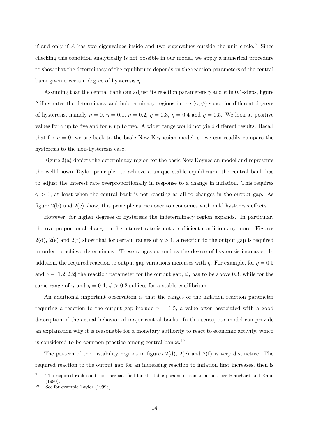if and only if A has two eigenvalues inside and two eigenvalues outside the unit circle.<sup>9</sup> Since checking this condition analytically is not possible in our model, we apply a numerical procedure to show that the determinacy of the equilibrium depends on the reaction parameters of the central bank given a certain degree of hysteresis  $\eta$ .

Assuming that the central bank can adjust its reaction parameters  $\gamma$  and  $\psi$  in 0.1-steps, figure 2 illustrates the determinacy and indeterminacy regions in the  $(\gamma, \psi)$ -space for different degrees of hysteresis, namely  $\eta = 0$ ,  $\eta = 0.1$ ,  $\eta = 0.2$ ,  $\eta = 0.3$ ,  $\eta = 0.4$  and  $\eta = 0.5$ . We look at positive values for  $\gamma$  up to five and for  $\psi$  up to two. A wider range would not yield different results. Recall that for  $\eta = 0$ , we are back to the basic New Keynesian model, so we can readily compare the hysteresis to the non-hysteresis case.

Figure 2(a) depicts the determinacy region for the basic New Keynesian model and represents the well-known Taylor principle: to achieve a unique stable equilibrium, the central bank has to adjust the interest rate overproportionally in response to a change in inflation. This requires  $\gamma > 1$ , at least when the central bank is not reacting at all to changes in the output gap. As figure 2(b) and 2(c) show, this principle carries over to economies with mild hysteresis effects.

However, for higher degrees of hysteresis the indeterminacy region expands. In particular, the overproportional change in the interest rate is not a sufficient condition any more. Figures 2(d), 2(e) and 2(f) show that for certain ranges of  $\gamma > 1$ , a reaction to the output gap is required in order to achieve determinacy. These ranges expand as the degree of hysteresis increases. In addition, the required reaction to output gap variations increases with  $\eta$ . For example, for  $\eta = 0.5$ and  $\gamma \in [1.2; 2.2]$  the reaction parameter for the output gap,  $\psi$ , has to be above 0.3, while for the same range of  $\gamma$  and  $\eta = 0.4$ ,  $\psi > 0.2$  suffices for a stable equilibrium.

An additional important observation is that the ranges of the inflation reaction parameter requiring a reaction to the output gap include  $\gamma = 1.5$ , a value often associated with a good description of the actual behavior of major central banks. In this sense, our model can provide an explanation why it is reasonable for a monetary authority to react to economic activity, which is considered to be common practice among central banks.<sup>10</sup>

The pattern of the instability regions in figures  $2(d)$ ,  $2(e)$  and  $2(f)$  is very distinctive. The required reaction to the output gap for an increasing reaction to inflation first increases, then is

 $\overline{9}$  The required rank conditions are satisfied for all stable parameter constellations, see Blanchard and Kahn  $(1980)$ 

<sup>10</sup> See for example Taylor (1999a).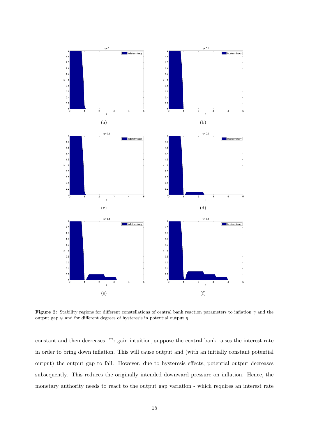

Figure 2: Stability regions for different constellations of central bank reaction parameters to inflation  $\gamma$  and the output gap  $\psi$  and for different degrees of hysteresis in potential output  $\eta$ .

constant and then decreases. To gain intuition, suppose the central bank raises the interest rate in order to bring down inflation. This will cause output and (with an initially constant potential output) the output gap to fall. However, due to hysteresis effects, potential output decreases subsequently. This reduces the originally intended downward pressure on inflation. Hence, the monetary authority needs to react to the output gap variation - which requires an interest rate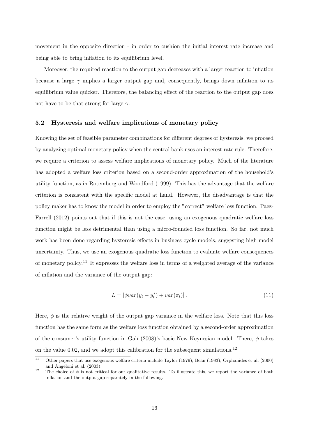movement in the opposite direction - in order to cushion the initial interest rate increase and being able to bring inflation to its equilibrium level.

Moreover, the required reaction to the output gap decreases with a larger reaction to inflation because a large  $\gamma$  implies a larger output gap and, consequently, brings down inflation to its equilibrium value quicker. Therefore, the balancing effect of the reaction to the output gap does not have to be that strong for large  $\gamma$ .

#### 5.2 Hysteresis and welfare implications of monetary policy

Knowing the set of feasible parameter combinations for different degrees of hysteresis, we proceed by analyzing optimal monetary policy when the central bank uses an interest rate rule. Therefore, we require a criterion to assess welfare implications of monetary policy. Much of the literature has adopted a welfare loss criterion based on a second-order approximation of the household's utility function, as in Rotemberg and Woodford (1999). This has the advantage that the welfare criterion is consistent with the specific model at hand. However, the disadvantage is that the policy maker has to know the model in order to employ the "correct" welfare loss function. Paez-Farrell (2012) points out that if this is not the case, using an exogenous quadratic welfare loss function might be less detrimental than using a micro-founded loss function. So far, not much work has been done regarding hysteresis effects in business cycle models, suggesting high model uncertainty. Thus, we use an exogenous quadratic loss function to evaluate welfare consequences of monetary policy.<sup>11</sup> It expresses the welfare loss in terms of a weighted average of the variance of inflation and the variance of the output gap:

$$
L = \left[ \phi var(y_t - y_t^*) + var(\pi_t) \right]. \tag{11}
$$

Here,  $\phi$  is the relative weight of the output gap variance in the welfare loss. Note that this loss function has the same form as the welfare loss function obtained by a second-order approximation of the consumer's utility function in Galí (2008)'s basic New Keynesian model. There,  $\phi$  takes on the value 0.02, and we adopt this calibration for the subsequent simulations.<sup>12</sup>

 $\overline{11}$  Other papers that use exogenous welfare criteria include Taylor (1979), Bean (1983), Orphanides et al. (2000) and Angeloni et al. (2003).

<sup>&</sup>lt;sup>12</sup> The choice of  $\phi$  is not critical for our qualitative results. To illustrate this, we report the variance of both inflation and the output gap separately in the following.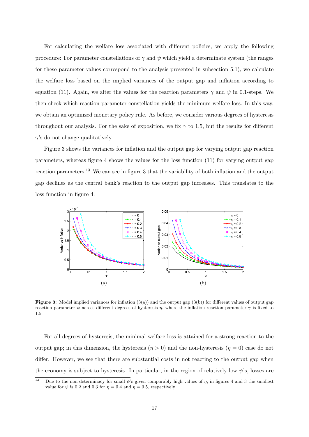For calculating the welfare loss associated with different policies, we apply the following procedure: For parameter constellations of  $\gamma$  and  $\psi$  which yield a determinate system (the ranges for these parameter values correspond to the analysis presented in subsection 5.1), we calculate the welfare loss based on the implied variances of the output gap and inflation according to equation (11). Again, we alter the values for the reaction parameters  $\gamma$  and  $\psi$  in 0.1-steps. We then check which reaction parameter constellation yields the minimum welfare loss. In this way, we obtain an optimized monetary policy rule. As before, we consider various degrees of hysteresis throughout our analysis. For the sake of exposition, we fix  $\gamma$  to 1.5, but the results for different  $\gamma$ 's do not change qualitatively.

Figure 3 shows the variances for inflation and the output gap for varying output gap reaction parameters, whereas figure 4 shows the values for the loss function (11) for varying output gap reaction parameters.<sup>13</sup> We can see in figure 3 that the variability of both inflation and the output gap declines as the central bank's reaction to the output gap increases. This translates to the loss function in figure 4.



**Figure 3:** Model implied variances for inflation  $(3(a))$  and the output gap  $(3(b))$  for different values of output gap reaction parameter  $\psi$  across different degrees of hysteresis  $\eta$ , where the inflation reaction parameter  $\gamma$  is fixed to 1.5.

For all degrees of hysteresis, the minimal welfare loss is attained for a strong reaction to the output gap; in this dimension, the hysteresis  $(\eta > 0)$  and the non-hysteresis  $(\eta = 0)$  case do not differ. However, we see that there are substantial costs in not reacting to the output gap when the economy is subject to hysteresis. In particular, in the region of relatively low  $\psi$ 's, losses are

<sup>&</sup>lt;sup>13</sup> Due to the non-determinacy for small  $\psi$ 's given comparably high values of  $\eta$ , in figures 4 and 3 the smallest value for  $\psi$  is 0.2 and 0.3 for  $\eta = 0.4$  and  $\eta = 0.5$ , respectively.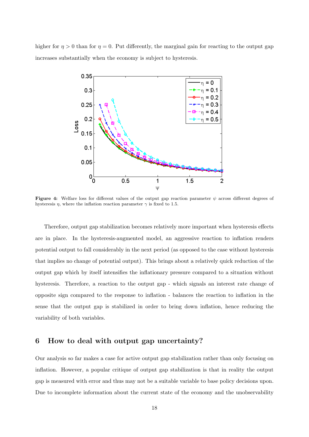higher for  $\eta > 0$  than for  $\eta = 0$ . Put differently, the marginal gain for reacting to the output gap increases substantially when the economy is subject to hysteresis.



Figure 4: Welfare loss for different values of the output gap reaction parameter  $\psi$  across different degrees of hysteresis  $\eta$ , where the inflation reaction parameter  $\gamma$  is fixed to 1.5.

Therefore, output gap stabilization becomes relatively more important when hysteresis effects are in place. In the hysteresis-augmented model, an aggressive reaction to inflation renders potential output to fall considerably in the next period (as opposed to the case without hysteresis that implies no change of potential output). This brings about a relatively quick reduction of the output gap which by itself intensifies the inflationary pressure compared to a situation without hysteresis. Therefore, a reaction to the output gap - which signals an interest rate change of opposite sign compared to the response to inflation - balances the reaction to inflation in the sense that the output gap is stabilized in order to bring down inflation, hence reducing the variability of both variables.

# 6 How to deal with output gap uncertainty?

Our analysis so far makes a case for active output gap stabilization rather than only focusing on inflation. However, a popular critique of output gap stabilization is that in reality the output gap is measured with error and thus may not be a suitable variable to base policy decisions upon. Due to incomplete information about the current state of the economy and the unobservability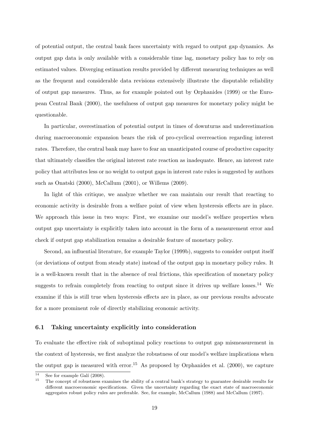of potential output, the central bank faces uncertainty with regard to output gap dynamics. As output gap data is only available with a considerable time lag, monetary policy has to rely on estimated values. Diverging estimation results provided by different measuring techniques as well as the frequent and considerable data revisions extensively illustrate the disputable reliability of output gap measures. Thus, as for example pointed out by Orphanides (1999) or the European Central Bank (2000), the usefulness of output gap measures for monetary policy might be questionable.

In particular, overestimation of potential output in times of downturns and underestimation during macroeconomic expansion bears the risk of pro-cyclical overreaction regarding interest rates. Therefore, the central bank may have to fear an unanticipated course of productive capacity that ultimately classifies the original interest rate reaction as inadequate. Hence, an interest rate policy that attributes less or no weight to output gaps in interest rate rules is suggested by authors such as Onatski (2000), McCallum (2001), or Willems (2009).

In light of this critique, we analyze whether we can maintain our result that reacting to economic activity is desirable from a welfare point of view when hysteresis effects are in place. We approach this issue in two ways: First, we examine our model's welfare properties when output gap uncertainty is explicitly taken into account in the form of a measurement error and check if output gap stabilization remains a desirable feature of monetary policy.

Second, an influential literature, for example Taylor (1999b), suggests to consider output itself (or deviations of output from steady state) instead of the output gap in monetary policy rules. It is a well-known result that in the absence of real frictions, this specification of monetary policy suggests to refrain completely from reacting to output since it drives up welfare losses.<sup>14</sup> We examine if this is still true when hysteresis effects are in place, as our previous results advocate for a more prominent role of directly stabilizing economic activity.

#### 6.1 Taking uncertainty explicitly into consideration

To evaluate the effective risk of suboptimal policy reactions to output gap mismeasurement in the context of hysteresis, we first analyze the robustness of our model's welfare implications when the output gap is measured with error.<sup>15</sup> As proposed by Orphanides et al. (2000), we capture

 $\frac{14}{15}$  See for example Galí (2008).

<sup>15</sup> The concept of robustness examines the ability of a central bank's strategy to guarantee desirable results for different macroeconomic specifications. Given the uncertainty regarding the exact state of macroeconomic aggregates robust policy rules are preferable. See, for example, McCallum (1988) and McCallum (1997).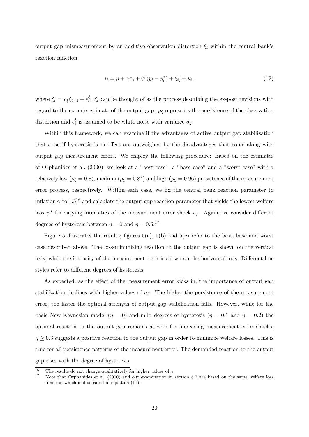output gap mismeasurement by an additive observation distortion  $\xi_t$  within the central bank's reaction function:

$$
i_t = \rho + \gamma \pi_t + \psi[(y_t - y_t^*) + \xi_t] + \nu_t,
$$
\n(12)

where  $\xi_t = \rho_{\xi} \xi_{t-1} + \epsilon_t^{\xi}$  $t<sub>t</sub>$ ,  $\xi<sub>t</sub>$  can be thought of as the process describing the ex-post revisions with regard to the ex-ante estimate of the output gap.  $\rho_{\xi}$  represents the persistence of the observation distortion and  $\epsilon_t^{\xi}$  $\zeta_t$  is assumed to be white noise with variance  $\sigma_{\xi}$ .

Within this framework, we can examine if the advantages of active output gap stabilization that arise if hysteresis is in effect are outweighed by the disadvantages that come along with output gap measurement errors. We employ the following procedure: Based on the estimates of Orphanides et al. (2000), we look at a "best case", a "base case" and a "worst case" with a relatively low ( $\rho_{\xi} = 0.8$ ), medium ( $\rho_{\xi} = 0.84$ ) and high ( $\rho_{\xi} = 0.96$ ) persistence of the measurement error process, respectively. Within each case, we fix the central bank reaction parameter to inflation  $\gamma$  to 1.5<sup>16</sup> and calculate the output gap reaction parameter that yields the lowest welfare loss  $\psi^*$  for varying intensities of the measurement error shock  $\sigma_{\xi}$ . Again, we consider different degrees of hysteresis between  $\eta = 0$  and  $\eta = 0.5$ .<sup>17</sup>

Figure 5 illustrates the results; figures  $5(a)$ ,  $5(b)$  and  $5(c)$  refer to the best, base and worst case described above. The loss-minimizing reaction to the output gap is shown on the vertical axis, while the intensity of the measurement error is shown on the horizontal axis. Different line styles refer to different degrees of hysteresis.

As expected, as the effect of the measurement error kicks in, the importance of output gap stabilization declines with higher values of  $\sigma_{\xi}$ . The higher the persistence of the measurement error, the faster the optimal strength of output gap stabilization falls. However, while for the basic New Keynesian model ( $\eta = 0$ ) and mild degrees of hysteresis ( $\eta = 0.1$  and  $\eta = 0.2$ ) the optimal reaction to the output gap remains at zero for increasing measurement error shocks,  $\eta \geq 0.3$  suggests a positive reaction to the output gap in order to minimize welfare losses. This is true for all persistence patterns of the measurement error. The demanded reaction to the output gap rises with the degree of hysteresis.

<sup>&</sup>lt;sup>16</sup> The results do not change qualitatively for higher values of  $\gamma$ .

Note that Orphanides et al. (2000) and our examination in section 5.2 are based on the same welfare loss function which is illustrated in equation (11).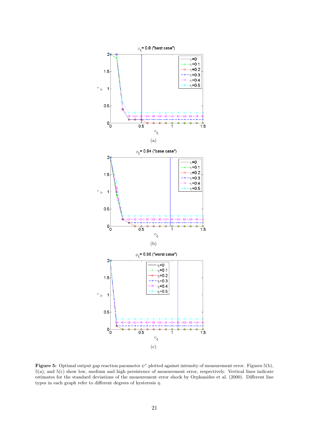

Figure 5: Optimal output gap reaction parameter  $\psi^*$  plotted against intensity of measurement error. Figures 5(b), 5(a), and 5(c) show low, medium and high persistence of measurement error, respectively. Vertical lines indicate estimates for the standard deviations of the measurement error shock by Orphanides et al. (2000). Different line types in each graph refer to different degrees of hysteresis  $\eta$ .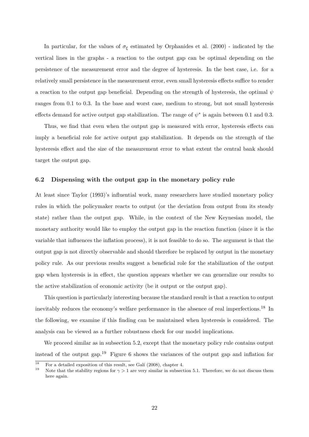In particular, for the values of  $\sigma_{\xi}$  estimated by Orphanides et al. (2000) - indicated by the vertical lines in the graphs - a reaction to the output gap can be optimal depending on the persistence of the measurement error and the degree of hysteresis. In the best case, i.e. for a relatively small persistence in the measurement error, even small hysteresis effects suffice to render a reaction to the output gap beneficial. Depending on the strength of hysteresis, the optimal  $\psi$ ranges from 0.1 to 0.3. In the base and worst case, medium to strong, but not small hysteresis effects demand for active output gap stabilization. The range of  $\psi^*$  is again between 0.1 and 0.3.

Thus, we find that even when the output gap is measured with error, hysteresis effects can imply a beneficial role for active output gap stabilization. It depends on the strength of the hysteresis effect and the size of the measurement error to what extent the central bank should target the output gap.

### 6.2 Dispensing with the output gap in the monetary policy rule

At least since Taylor (1993)'s influential work, many researchers have studied monetary policy rules in which the policymaker reacts to output (or the deviation from output from its steady state) rather than the output gap. While, in the context of the New Keynesian model, the monetary authority would like to employ the output gap in the reaction function (since it is the variable that influences the inflation process), it is not feasible to do so. The argument is that the output gap is not directly observable and should therefore be replaced by output in the monetary policy rule. As our previous results suggest a beneficial role for the stabilization of the output gap when hysteresis is in effect, the question appears whether we can generalize our results to the active stabilization of economic activity (be it output or the output gap).

This question is particularly interesting because the standard result is that a reaction to output inevitably reduces the economy's welfare performance in the absence of real imperfections.<sup>18</sup> In the following, we examine if this finding can be maintained when hysteresis is considered. The analysis can be viewed as a further robustness check for our model implications.

We proceed similar as in subsection 5.2, except that the monetary policy rule contains output instead of the output gap.<sup>19</sup> Figure 6 shows the variances of the output gap and inflation for

<sup>&</sup>lt;sup>18</sup> For a detailed exposition of this result, see Galí (2008), chapter 4.

Note that the stability regions for  $\gamma > 1$  are very similar in subsection 5.1. Therefore, we do not discuss them here again.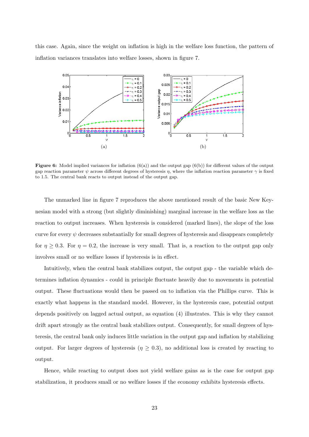this case. Again, since the weight on inflation is high in the welfare loss function, the pattern of inflation variances translates into welfare losses, shown in figure 7.



**Figure 6:** Model implied variances for inflation  $(6(a))$  and the output gap  $(6(b))$  for different values of the output gap reaction parameter  $\psi$  across different degrees of hysteresis  $\eta$ , where the inflation reaction parameter  $\gamma$  is fixed to 1.5. The central bank reacts to output instead of the output gap.

The unmarked line in figure 7 reproduces the above mentioned result of the basic New Keynesian model with a strong (but slightly diminishing) marginal increase in the welfare loss as the reaction to output increases. When hysteresis is considered (marked lines), the slope of the loss curve for every  $\psi$  decreases substantially for small degrees of hysteresis and disappears completely for  $\eta \geq 0.3$ . For  $\eta = 0.2$ , the increase is very small. That is, a reaction to the output gap only involves small or no welfare losses if hysteresis is in effect.

Intuitively, when the central bank stabilizes output, the output gap - the variable which determines inflation dynamics - could in principle fluctuate heavily due to movements in potential output. These fluctuations would then be passed on to inflation via the Phillips curve. This is exactly what happens in the standard model. However, in the hysteresis case, potential output depends positively on lagged actual output, as equation (4) illustrates. This is why they cannot drift apart strongly as the central bank stabilizes output. Consequently, for small degrees of hysteresis, the central bank only induces little variation in the output gap and inflation by stabilizing output. For larger degrees of hysteresis ( $\eta \geq 0.3$ ), no additional loss is created by reacting to output.

Hence, while reacting to output does not yield welfare gains as is the case for output gap stabilization, it produces small or no welfare losses if the economy exhibits hysteresis effects.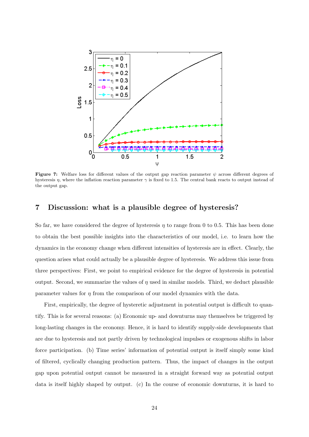

Figure 7: Welfare loss for different values of the output gap reaction parameter  $\psi$  across different degrees of hysteresis  $\eta$ , where the inflation reaction parameter  $\gamma$  is fixed to 1.5. The central bank reacts to output instead of the output gap.

# 7 Discussion: what is a plausible degree of hysteresis?

So far, we have considered the degree of hysteresis  $n$  to range from 0 to 0.5. This has been done to obtain the best possible insights into the characteristics of our model, i.e. to learn how the dynamics in the economy change when different intensities of hysteresis are in effect. Clearly, the question arises what could actually be a plausible degree of hysteresis. We address this issue from three perspectives: First, we point to empirical evidence for the degree of hysteresis in potential output. Second, we summarize the values of  $\eta$  used in similar models. Third, we deduct plausible parameter values for  $\eta$  from the comparison of our model dynamics with the data.

First, empirically, the degree of hysteretic adjustment in potential output is difficult to quantify. This is for several reasons: (a) Economic up- and downturns may themselves be triggered by long-lasting changes in the economy. Hence, it is hard to identify supply-side developments that are due to hysteresis and not partly driven by technological impulses or exogenous shifts in labor force participation. (b) Time series' information of potential output is itself simply some kind of filtered, cyclically changing production pattern. Thus, the impact of changes in the output gap upon potential output cannot be measured in a straight forward way as potential output data is itself highly shaped by output. (c) In the course of economic downturns, it is hard to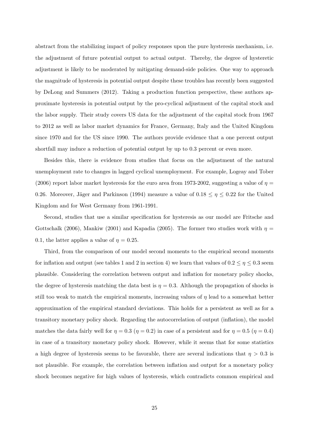abstract from the stabilizing impact of policy responses upon the pure hysteresis mechanism, i.e. the adjustment of future potential output to actual output. Thereby, the degree of hysteretic adjustment is likely to be moderated by mitigating demand-side policies. One way to approach the magnitude of hysteresis in potential output despite these troubles has recently been suggested by DeLong and Summers (2012). Taking a production function perspective, these authors approximate hysteresis in potential output by the pro-cyclical adjustment of the capital stock and the labor supply. Their study covers US data for the adjustment of the capital stock from 1967 to 2012 as well as labor market dynamics for France, Germany, Italy and the United Kingdom since 1970 and for the US since 1990. The authors provide evidence that a one percent output shortfall may induce a reduction of potential output by up to 0.3 percent or even more.

Besides this, there is evidence from studies that focus on the adjustment of the natural unemployment rate to changes in lagged cyclical unemployment. For example, Logeay and Tober (2006) report labor market hysteresis for the euro area from 1973-2002, suggesting a value of  $\eta$ 0.26. Moreover, Jäger and Parkinson (1994) measure a value of  $0.18 \le \eta \le 0.22$  for the United Kingdom and for West Germany from 1961-1991.

Second, studies that use a similar specification for hysteresis as our model are Fritsche and Gottschalk (2006), Mankiw (2001) and Kapadia (2005). The former two studies work with  $\eta =$ 0.1, the latter applies a value of  $\eta = 0.25$ .

Third, from the comparison of our model second moments to the empirical second moments for inflation and output (see tables 1 and 2 in section 4) we learn that values of  $0.2 \le \eta \le 0.3$  seem plausible. Considering the correlation between output and inflation for monetary policy shocks, the degree of hysteresis matching the data best is  $\eta = 0.3$ . Although the propagation of shocks is still too weak to match the empirical moments, increasing values of  $\eta$  lead to a somewhat better approximation of the empirical standard deviations. This holds for a persistent as well as for a transitory monetary policy shock. Regarding the autocorrelation of output (inflation), the model matches the data fairly well for  $\eta = 0.3$  ( $\eta = 0.2$ ) in case of a persistent and for  $\eta = 0.5$  ( $\eta = 0.4$ ) in case of a transitory monetary policy shock. However, while it seems that for some statistics a high degree of hysteresis seems to be favorable, there are several indications that  $\eta > 0.3$  is not plausible. For example, the correlation between inflation and output for a monetary policy shock becomes negative for high values of hysteresis, which contradicts common empirical and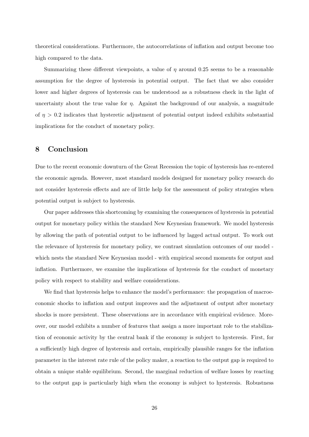theoretical considerations. Furthermore, the autocorrelations of inflation and output become too high compared to the data.

Summarizing these different viewpoints, a value of  $\eta$  around 0.25 seems to be a reasonable assumption for the degree of hysteresis in potential output. The fact that we also consider lower and higher degrees of hysteresis can be understood as a robustness check in the light of uncertainty about the true value for  $\eta$ . Against the background of our analysis, a magnitude of  $\eta > 0.2$  indicates that hysteretic adjustment of potential output indeed exhibits substantial implications for the conduct of monetary policy.

# 8 Conclusion

Due to the recent economic downturn of the Great Recession the topic of hysteresis has re-entered the economic agenda. However, most standard models designed for monetary policy research do not consider hysteresis effects and are of little help for the assessment of policy strategies when potential output is subject to hysteresis.

Our paper addresses this shortcoming by examining the consequences of hysteresis in potential output for monetary policy within the standard New Keynesian framework. We model hysteresis by allowing the path of potential output to be influenced by lagged actual output. To work out the relevance of hysteresis for monetary policy, we contrast simulation outcomes of our model which nests the standard New Keynesian model - with empirical second moments for output and inflation. Furthermore, we examine the implications of hysteresis for the conduct of monetary policy with respect to stability and welfare considerations.

We find that hysteresis helps to enhance the model's performance: the propagation of macroeconomic shocks to inflation and output improves and the adjustment of output after monetary shocks is more persistent. These observations are in accordance with empirical evidence. Moreover, our model exhibits a number of features that assign a more important role to the stabilization of economic activity by the central bank if the economy is subject to hysteresis. First, for a sufficiently high degree of hysteresis and certain, empirically plausible ranges for the inflation parameter in the interest rate rule of the policy maker, a reaction to the output gap is required to obtain a unique stable equilibrium. Second, the marginal reduction of welfare losses by reacting to the output gap is particularly high when the economy is subject to hysteresis. Robustness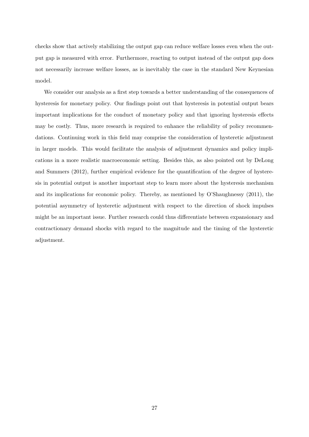checks show that actively stabilizing the output gap can reduce welfare losses even when the output gap is measured with error. Furthermore, reacting to output instead of the output gap does not necessarily increase welfare losses, as is inevitably the case in the standard New Keynesian model.

We consider our analysis as a first step towards a better understanding of the consequences of hysteresis for monetary policy. Our findings point out that hysteresis in potential output bears important implications for the conduct of monetary policy and that ignoring hysteresis effects may be costly. Thus, more research is required to enhance the reliability of policy recommendations. Continuing work in this field may comprise the consideration of hysteretic adjustment in larger models. This would facilitate the analysis of adjustment dynamics and policy implications in a more realistic macroeconomic setting. Besides this, as also pointed out by DeLong and Summers (2012), further empirical evidence for the quantification of the degree of hysteresis in potential output is another important step to learn more about the hysteresis mechanism and its implications for economic policy. Thereby, as mentioned by O'Shaughnessy (2011), the potential asymmetry of hysteretic adjustment with respect to the direction of shock impulses might be an important issue. Further research could thus differentiate between expansionary and contractionary demand shocks with regard to the magnitude and the timing of the hysteretic adjustment.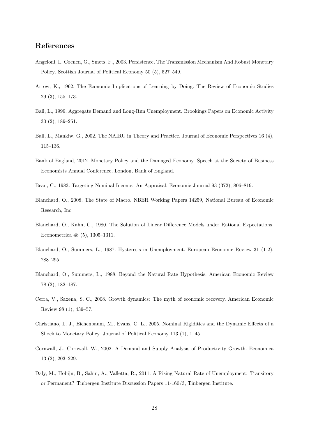# References

- Angeloni, I., Coenen, G., Smets, F., 2003. Persistence, The Transmission Mechanism And Robust Monetary Policy. Scottish Journal of Political Economy 50 (5), 527–549.
- Arrow, K., 1962. The Economic Implications of Learning by Doing. The Review of Economic Studies 29 (3), 155–173.
- Ball, L., 1999. Aggregate Demand and Long-Run Unemployment. Brookings Papers on Economic Activity 30 (2), 189–251.
- Ball, L., Mankiw, G., 2002. The NAIRU in Theory and Practice. Journal of Economic Perspectives 16 (4), 115–136.
- Bank of England, 2012. Monetary Policy and the Damaged Economy. Speech at the Society of Business Economists Annual Conference, London, Bank of England.
- Bean, C., 1983. Targeting Nominal Income: An Appraisal. Economic Journal 93 (372), 806–819.
- Blanchard, O., 2008. The State of Macro. NBER Working Papers 14259, National Bureau of Economic Research, Inc.
- Blanchard, O., Kahn, C., 1980. The Solution of Linear Difference Models under Rational Expectations. Econometrica 48 (5), 1305–1311.
- Blanchard, O., Summers, L., 1987. Hysteresis in Unemployment. European Economic Review 31 (1-2), 288–295.
- Blanchard, O., Summers, L., 1988. Beyond the Natural Rate Hypothesis. American Economic Review 78 (2), 182–187.
- Cerra, V., Saxena, S. C., 2008. Growth dynamics: The myth of economic recovery. American Economic Review 98 (1), 439–57.
- Christiano, L. J., Eichenbaum, M., Evans, C. L., 2005. Nominal Rigidities and the Dynamic Effects of a Shock to Monetary Policy. Journal of Political Economy 113 (1), 1–45.
- Cornwall, J., Cornwall, W., 2002. A Demand and Supply Analysis of Productivity Growth. Economica 13 (2), 203–229.
- Daly, M., Hobijn, B., Sahin, A., Valletta, R., 2011. A Rising Natural Rate of Unemployment: Transitory or Permanent? Tinbergen Institute Discussion Papers 11-160/3, Tinbergen Institute.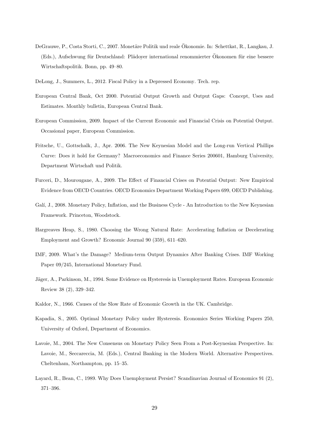- DeGrauwe, P., Costa Storti, C., 2007. Monetäre Politik und reale Ökonomie. In: Schettkat, R., Langkau, J. (Eds.), Aufschwung für Deutschland: Plädover international renommierter Ökonomen für eine bessere Wirtschaftspolitik. Bonn, pp. 49–80.
- DeLong, J., Summers, L., 2012. Fiscal Policy in a Depressed Economy. Tech. rep.
- European Central Bank, Oct 2000. Potential Output Growth and Output Gaps: Concept, Uses and Estimates. Monthly bulletin, European Central Bank.
- European Commission, 2009. Impact of the Current Economic and Financial Crisis on Potential Output. Occasional paper, European Commission.
- Fritsche, U., Gottschalk, J., Apr. 2006. The New Keynesian Model and the Long-run Vertical Phillips Curve: Does it hold for Germany? Macroeconomics and Finance Series 200601, Hamburg University, Department Wirtschaft und Politik.
- Furceri, D., Mourougane, A., 2009. The Effect of Financial Crises on Potential Output: New Empirical Evidence from OECD Countries. OECD Economics Department Working Papers 699, OECD Publishing.
- Galí, J., 2008. Monetary Policy, Inflation, and the Business Cycle An Introduction to the New Keynesian Framework. Princeton, Woodstock.
- Hargreaves Heap, S., 1980. Choosing the Wrong Natural Rate: Accelerating Inflation or Decelerating Employment and Growth? Economic Journal 90 (359), 611–620.
- IMF, 2009. What's the Damage? Medium-term Output Dynamics After Banking Crises. IMF Working Paper 09/245, International Monetary Fund.
- Jäger, A., Parkinson, M., 1994. Some Evidence on Hysteresis in Unemployment Rates. European Economic Review 38 (2), 329–342.
- Kaldor, N., 1966. Causes of the Slow Rate of Economic Growth in the UK. Cambridge.
- Kapadia, S., 2005. Optimal Monetary Policy under Hysteresis. Economics Series Working Papers 250, University of Oxford, Department of Economics.
- Lavoie, M., 2004. The New Consensus on Monetary Policy Seen From a Post-Keynesian Perspective. In: Lavoie, M., Seccareccia, M. (Eds.), Central Banking in the Modern World. Alternative Perspectives. Cheltenham, Northampton, pp. 15–35.
- Layard, R., Bean, C., 1989. Why Does Unemployment Persist? Scandinavian Journal of Economics 91 (2), 371–396.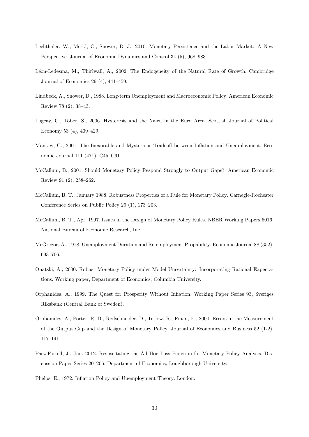- Lechthaler, W., Merkl, C., Snower, D. J., 2010. Monetary Persistence and the Labor Market: A New Perspective. Journal of Economic Dynamics and Control 34 (5), 968–983.
- L´eon-Ledesma, M., Thirlwall, A., 2002. The Endogeneity of the Natural Rate of Growth. Cambridge Journal of Economics 26 (4), 441–459.
- Lindbeck, A., Snower, D., 1988. Long-term Unemployment and Macroeconomic Policy. American Economic Review 78 (2), 38–43.
- Logeay, C., Tober, S., 2006. Hysteresis and the Nairu in the Euro Area. Scottish Journal of Political Economy 53 (4), 409–429.
- Mankiw, G., 2001. The Inexorable and Mysterious Tradeoff between Inflation and Unemployment. Economic Journal 111 (471), C45–C61.
- McCallum, B., 2001. Should Monetary Policy Respond Strongly to Output Gaps? American Economic Review 91 (2), 258–262.
- McCallum, B. T., January 1988. Robustness Properties of a Rule for Monetary Policy. Carnegie-Rochester Conference Series on Public Policy 29 (1), 173–203.
- McCallum, B. T., Apr. 1997. Issues in the Design of Monetary Policy Rules. NBER Working Papers 6016, National Bureau of Economic Research, Inc.
- McGregor, A., 1978. Unemployment Duration and Re-employment Propability. Economic Journal 88 (352), 693–706.
- Onatski, A., 2000. Robust Monetary Policy under Model Uncertainty: Incorporating Rational Expectations. Working paper, Department of Economics, Columbia University.
- Orphanides, A., 1999. The Quest for Prosperity Without Inflation. Working Paper Series 93, Sveriges Riksbank (Central Bank of Sweden).
- Orphanides, A., Porter, R. D., Reifschneider, D., Tetlow, R., Finan, F., 2000. Errors in the Measurement of the Output Gap and the Design of Monetary Policy. Journal of Economics and Business 52 (1-2), 117–141.
- Paez-Farrell, J., Jun. 2012. Resuscitating the Ad Hoc Loss Function for Monetary Policy Analysis. Discussion Paper Series 201206, Department of Economics, Loughborough University.

Phelps, E., 1972. Inflation Policy and Unemployment Theory. London.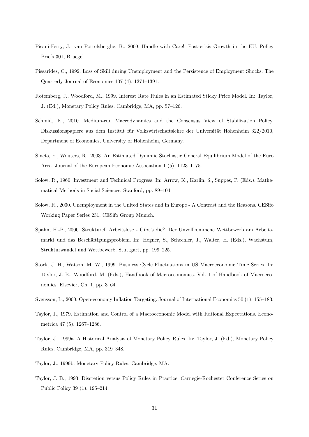- Pisani-Ferry, J., van Pottelsberghe, B., 2009. Handle with Care! Post-crisis Growth in the EU. Policy Briefs 301, Bruegel.
- Pissarides, C., 1992. Loss of Skill during Unemployment and the Persistence of Employment Shocks. The Quarterly Journal of Economics 107 (4), 1371–1391.
- Rotemberg, J., Woodford, M., 1999. Interest Rate Rules in an Estimated Sticky Price Model. In: Taylor, J. (Ed.), Monetary Policy Rules. Cambridge, MA, pp. 57–126.
- Schmid, K., 2010. Medium-run Macrodynamics and the Consensus View of Stabilization Policy. Diskussionspapiere aus dem Institut für Volkswirtschaftslehre der Universität Hohenheim 322/2010, Department of Economics, University of Hohenheim, Germany.
- Smets, F., Wouters, R., 2003. An Estimated Dynamic Stochastic General Equilibrium Model of the Euro Area. Journal of the European Economic Association 1 (5), 1123–1175.
- Solow, R., 1960. Investment and Technical Progress. In: Arrow, K., Karlin, S., Suppes, P. (Eds.), Mathematical Methods in Social Sciences. Stanford, pp. 89–104.
- Solow, R., 2000. Unemployment in the United States and in Europe A Contrast and the Reasons. CESifo Working Paper Series 231, CESifo Group Munich.
- Spahn, H.-P., 2000. Strukturell Arbeitslose Gibt's die? Der Unvollkommene Wettbewerb am Arbeitsmarkt und das Beschäftigungsproblem. In: Hegner, S., Schechler, J., Walter, H. (Eds.), Wachstum. Strukturwandel und Wettbewerb. Stuttgart, pp. 199–225.
- Stock, J. H., Watson, M. W., 1999. Business Cycle Fluctuations in US Macroeconomic Time Series. In: Taylor, J. B., Woodford, M. (Eds.), Handbook of Macroeconomics. Vol. 1 of Handbook of Macroeconomics. Elsevier, Ch. 1, pp. 3–64.
- Svensson, L., 2000. Open-economy Inflation Targeting. Journal of International Economics 50 (1), 155–183.
- Taylor, J., 1979. Estimation and Control of a Macroeconomic Model with Rational Expectations. Econometrica 47 (5), 1267–1286.
- Taylor, J., 1999a. A Historical Analysis of Monetary Policy Rules. In: Taylor, J. (Ed.), Monetary Policy Rules. Cambridge, MA, pp. 319–348.
- Taylor, J., 1999b. Monetary Policy Rules. Cambridge, MA.
- Taylor, J. B., 1993. Discretion versus Policy Rules in Practice. Carnegie-Rochester Conference Series on Public Policy 39 (1), 195–214.